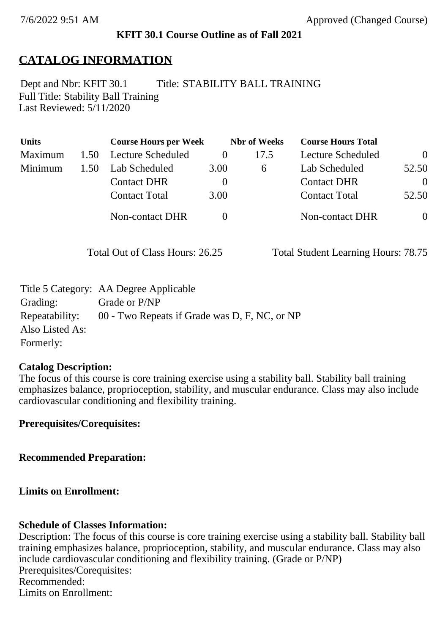### **KFIT 30.1 Course Outline as of Fall 2021**

## **CATALOG INFORMATION**

Full Title: Stability Ball Training Last Reviewed: 5/11/2020 Dept and Nbr: KFIT 30.1 Title: STABILITY BALL TRAINING

| <b>Units</b> |      | <b>Course Hours per Week</b> |          | <b>Nbr</b> of Weeks | <b>Course Hours Total</b> |                |
|--------------|------|------------------------------|----------|---------------------|---------------------------|----------------|
| Maximum      | 1.50 | Lecture Scheduled            | $\theta$ | 17.5                | Lecture Scheduled         | $\overline{0}$ |
| Minimum      | 1.50 | Lab Scheduled                | 3.00     | $\sigma$            | Lab Scheduled             | 52.50          |
|              |      | <b>Contact DHR</b>           | $\theta$ |                     | <b>Contact DHR</b>        | $\Omega$       |
|              |      | <b>Contact Total</b>         | 3.00     |                     | <b>Contact Total</b>      | 52.50          |
|              |      | Non-contact DHR              |          |                     | <b>Non-contact DHR</b>    | $\overline{0}$ |

Total Out of Class Hours: 26.25 Total Student Learning Hours: 78.75

|                 | Title 5 Category: AA Degree Applicable        |
|-----------------|-----------------------------------------------|
| Grading:        | Grade or P/NP                                 |
| Repeatability:  | 00 - Two Repeats if Grade was D, F, NC, or NP |
| Also Listed As: |                                               |
| Formerly:       |                                               |

#### **Catalog Description:**

The focus of this course is core training exercise using a stability ball. Stability ball training emphasizes balance, proprioception, stability, and muscular endurance. Class may also include cardiovascular conditioning and flexibility training.

**Prerequisites/Corequisites:**

**Recommended Preparation:**

**Limits on Enrollment:**

### **Schedule of Classes Information:**

Description: The focus of this course is core training exercise using a stability ball. Stability ball training emphasizes balance, proprioception, stability, and muscular endurance. Class may also include cardiovascular conditioning and flexibility training. (Grade or P/NP) Prerequisites/Corequisites: Recommended: Limits on Enrollment: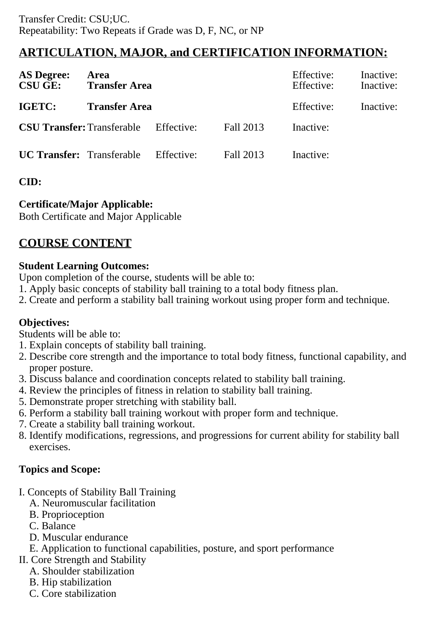# **ARTICULATION, MAJOR, and CERTIFICATION INFORMATION:**

| <b>AS Degree:</b><br><b>CSU GE:</b> | Area<br><b>Transfer Area</b> |            | Effective:<br>Effective: | Inactive:<br>Inactive: |  |
|-------------------------------------|------------------------------|------------|--------------------------|------------------------|--|
| <b>IGETC:</b>                       | <b>Transfer Area</b>         |            | Effective:               | Inactive:              |  |
| <b>CSU Transfer: Transferable</b>   |                              | Effective: | Fall 2013                | Inactive:              |  |
| <b>UC Transfer:</b> Transferable    |                              | Effective: | Fall 2013                | Inactive:              |  |

## **CID:**

## **Certificate/Major Applicable:**

[Both Certificate and Major Applicable](SR_ClassCheck.aspx?CourseKey=KFIT30.1)

# **COURSE CONTENT**

### **Student Learning Outcomes:**

Upon completion of the course, students will be able to:

- 1. Apply basic concepts of stability ball training to a total body fitness plan.
- 2. Create and perform a stability ball training workout using proper form and technique.

## **Objectives:**

Students will be able to:

- 1. Explain concepts of stability ball training.
- 2. Describe core strength and the importance to total body fitness, functional capability, and proper posture.
- 3. Discuss balance and coordination concepts related to stability ball training.
- 4. Review the principles of fitness in relation to stability ball training.
- 5. Demonstrate proper stretching with stability ball.
- 6. Perform a stability ball training workout with proper form and technique.
- 7. Create a stability ball training workout.
- 8. Identify modifications, regressions, and progressions for current ability for stability ball exercises.

## **Topics and Scope:**

- I. Concepts of Stability Ball Training
	- A. Neuromuscular facilitation
	- B. Proprioception
	- C. Balance
	- D. Muscular endurance
	- E. Application to functional capabilities, posture, and sport performance
- II. Core Strength and Stability
	- A. Shoulder stabilization
	- B. Hip stabilization
	- C. Core stabilization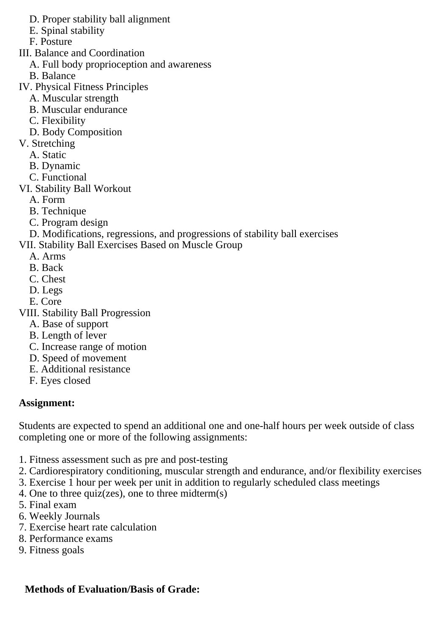D. Proper stability ball alignment

E. Spinal stability

F. Posture

III. Balance and Coordination

A. Full body proprioception and awareness

B. Balance

IV. Physical Fitness Principles

- A. Muscular strength
- B. Muscular endurance
- C. Flexibility
- D. Body Composition
- V. Stretching
	- A. Static
	- B. Dynamic
	- C. Functional
- VI. Stability Ball Workout
	- A. Form
	- B. Technique
	- C. Program design
- D. Modifications, regressions, and progressions of stability ball exercises

VII. Stability Ball Exercises Based on Muscle Group

- A. Arms
- B. Back
- C. Chest
- D. Legs
- E. Core

VIII. Stability Ball Progression

- A. Base of support
- B. Length of lever
- C. Increase range of motion
- D. Speed of movement
- E. Additional resistance
- F. Eyes closed

## **Assignment:**

Students are expected to spend an additional one and one-half hours per week outside of class completing one or more of the following assignments:

- 1. Fitness assessment such as pre and post-testing
- 2. Cardiorespiratory conditioning, muscular strength and endurance, and/or flexibility exercises
- 3. Exercise 1 hour per week per unit in addition to regularly scheduled class meetings
- 4. One to three quiz(zes), one to three midterm(s)
- 5. Final exam
- 6. Weekly Journals
- 7. Exercise heart rate calculation
- 8. Performance exams
- 9. Fitness goals

## **Methods of Evaluation/Basis of Grade:**